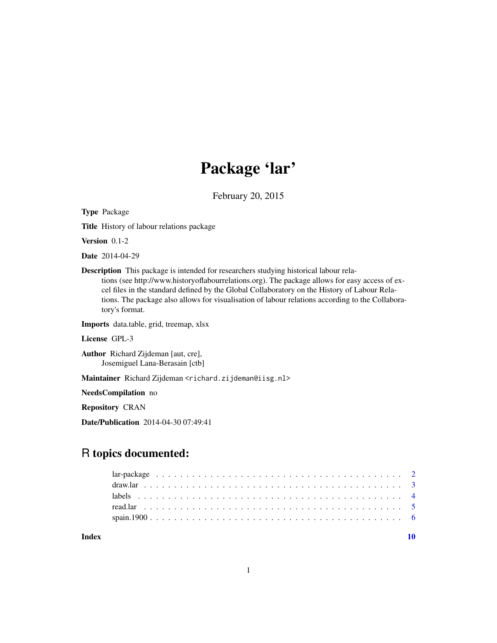# Package 'lar'

February 20, 2015

<span id="page-0-0"></span>Type Package Title History of labour relations package Version 0.1-2 Date 2014-04-29 Description This package is intended for researchers studying historical labour relations (see http://www.historyoflabourrelations.org). The package allows for easy access of excel files in the standard defined by the Global Collaboratory on the History of Labour Relations. The package also allows for visualisation of labour relations according to the Collaboratory's format. Imports data.table, grid, treemap, xlsx License GPL-3 Author Richard Zijdeman [aut, cre], Josemiguel Lana-Berasain [ctb] Maintainer Richard Zijdeman <richard.zijdeman@iisg.nl> NeedsCompilation no Repository CRAN Date/Publication 2014-04-30 07:49:41

## R topics documented:

 $\blacksquare$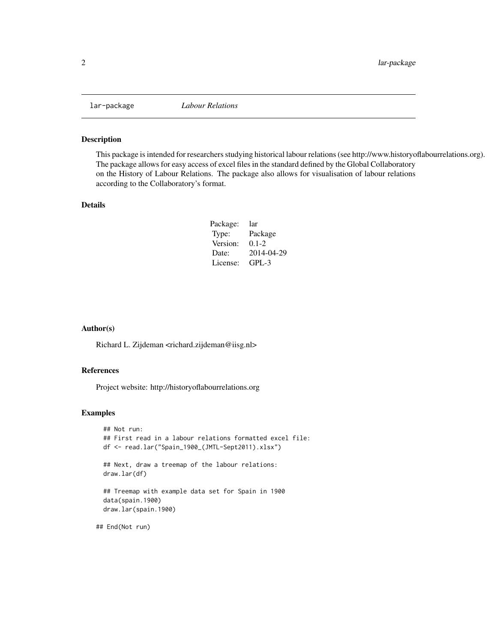<span id="page-1-0"></span>

#### Description

This package is intended for researchers studying historical labour relations (see http://www.historyoflabourrelations.org). The package allows for easy access of excel files in the standard defined by the Global Collaboratory on the History of Labour Relations. The package also allows for visualisation of labour relations according to the Collaboratory's format.

#### Details

| Package: | lar        |
|----------|------------|
| Type:    | Package    |
| Version: | $0.1 - 2$  |
| Date:    | 2014-04-29 |
| License: | $GPI - 3$  |

#### Author(s)

Richard L. Zijdeman <richard.zijdeman@iisg.nl>

#### References

Project website: http://historyoflabourrelations.org

#### Examples

```
## Not run:
## First read in a labour relations formatted excel file:
df <- read.lar("Spain_1900_(JMTL-Sept2011).xlsx")
## Next, draw a treemap of the labour relations:
draw.lar(df)
## Treemap with example data set for Spain in 1900
data(spain.1900)
draw.lar(spain.1900)
```
## End(Not run)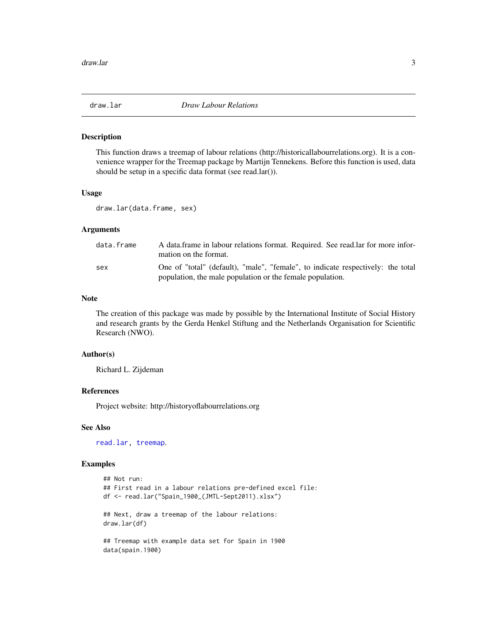<span id="page-2-1"></span><span id="page-2-0"></span>

#### Description

This function draws a treemap of labour relations (http://historicallabourrelations.org). It is a convenience wrapper for the Treemap package by Martijn Tennekens. Before this function is used, data should be setup in a specific data format (see read.lar()).

#### Usage

```
draw.lar(data.frame, sex)
```
#### Arguments

| data.frame | A data frame in labour relations format. Required. See read lar for more infor-<br>mation on the format.                                     |
|------------|----------------------------------------------------------------------------------------------------------------------------------------------|
| sex        | One of "total" (default), "male", "female", to indicate respectively: the total<br>population, the male population or the female population. |

#### **Note**

The creation of this package was made by possible by the International Institute of Social History and research grants by the Gerda Henkel Stiftung and the Netherlands Organisation for Scientific Research (NWO).

#### Author(s)

Richard L. Zijdeman

#### References

Project website: http://historyoflabourrelations.org

#### See Also

[read.lar,](#page-4-1) [treemap](#page-0-0).

#### Examples

```
## Not run:
## First read in a labour relations pre-defined excel file:
df <- read.lar("Spain_1900_(JMTL-Sept2011).xlsx")
## Next, draw a treemap of the labour relations:
draw.lar(df)
## Treemap with example data set for Spain in 1900
data(spain.1900)
```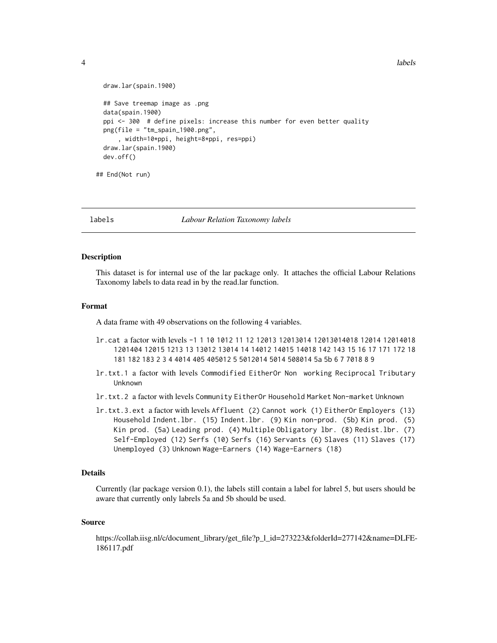```
design and the contract of the contract of the contract of the contract of the contract of the contract of the contract of the contract of the contract of the contract of the contract of the contract of the contract of the
```

```
draw.lar(spain.1900)
 ## Save treemap image as .png
 data(spain.1900)
 ppi <- 300 # define pixels: increase this number for even better quality
 png(file = "tm_spain_1900.png",
     , width=10*ppi, height=8*ppi, res=ppi)
 draw.lar(spain.1900)
 dev.off()
## End(Not run)
```
labels *Labour Relation Taxonomy labels*

#### Description

This dataset is for internal use of the lar package only. It attaches the official Labour Relations Taxonomy labels to data read in by the read.lar function.

#### Format

A data frame with 49 observations on the following 4 variables.

- lr.cat a factor with levels -1 1 10 1012 11 12 12013 12013014 12013014018 12014 12014018 1201404 12015 1213 13 13012 13014 14 14012 14015 14018 142 143 15 16 17 171 172 18 181 182 183 2 3 4 4014 405 405012 5 5012014 5014 508014 5a 5b 6 7 7018 8 9
- lr.txt.1 a factor with levels Commodified EitherOr Non working Reciprocal Tributary Unknown
- lr.txt.2 a factor with levels Community EitherOr Household Market Non-market Unknown
- lr.txt.3.ext a factor with levels Affluent (2) Cannot work (1) EitherOr Employers (13) Household Indent.lbr. (15) Indent.lbr. (9) Kin non-prod. (5b) Kin prod. (5) Kin prod. (5a) Leading prod. (4) Multiple Obligatory lbr. (8) Redist.lbr. (7) Self-Employed (12) Serfs (10) Serfs (16) Servants (6) Slaves (11) Slaves (17) Unemployed (3) Unknown Wage-Earners (14) Wage-Earners (18)

#### Details

Currently (lar package version 0.1), the labels still contain a label for labrel 5, but users should be aware that currently only labrels 5a and 5b should be used.

#### Source

https://collab.iisg.nl/c/document\_library/get\_file?p\_l\_id=273223&folderId=277142&name=DLFE-186117.pdf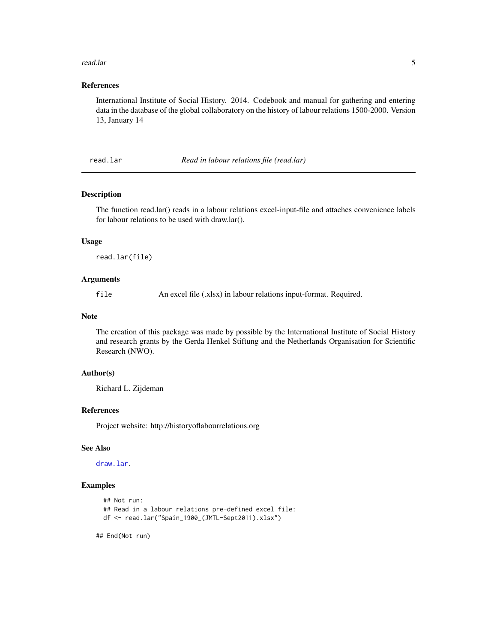#### <span id="page-4-0"></span>read.lar 5

### References

International Institute of Social History. 2014. Codebook and manual for gathering and entering data in the database of the global collaboratory on the history of labour relations 1500-2000. Version 13, January 14

<span id="page-4-1"></span>read.lar *Read in labour relations file (read.lar)*

#### Description

The function read.lar() reads in a labour relations excel-input-file and attaches convenience labels for labour relations to be used with draw.lar().

#### Usage

read.lar(file)

#### Arguments

file An excel file (.xlsx) in labour relations input-format. Required.

#### Note

The creation of this package was made by possible by the International Institute of Social History and research grants by the Gerda Henkel Stiftung and the Netherlands Organisation for Scientific Research (NWO).

#### Author(s)

Richard L. Zijdeman

#### References

Project website: http://historyoflabourrelations.org

#### See Also

[draw.lar](#page-2-1).

#### Examples

```
## Not run:
## Read in a labour relations pre-defined excel file:
df <- read.lar("Spain_1900_(JMTL-Sept2011).xlsx")
```
## End(Not run)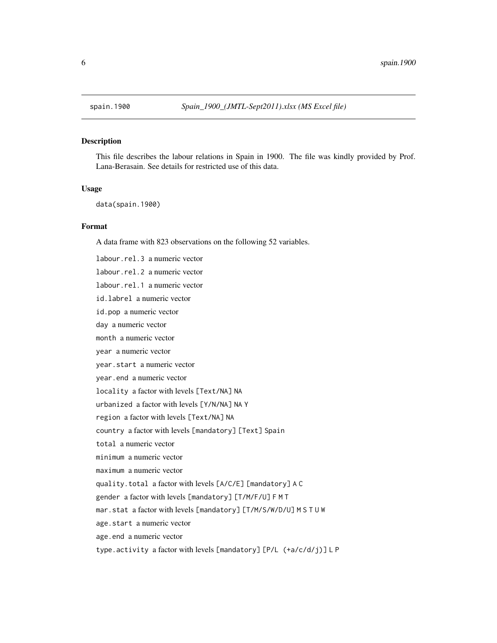<span id="page-5-0"></span>

#### Description

This file describes the labour relations in Spain in 1900. The file was kindly provided by Prof. Lana-Berasain. See details for restricted use of this data.

#### Usage

data(spain.1900)

#### Format

A data frame with 823 observations on the following 52 variables.

labour.rel.3 a numeric vector labour.rel.2 a numeric vector labour.rel.1 a numeric vector id.labrel a numeric vector id.pop a numeric vector day a numeric vector month a numeric vector year a numeric vector year.start a numeric vector year.end a numeric vector locality a factor with levels [Text/NA] NA urbanized a factor with levels [Y/N/NA] NA Y region a factor with levels [Text/NA] NA country a factor with levels [mandatory] [Text] Spain total a numeric vector minimum a numeric vector maximum a numeric vector quality.total a factor with levels [A/C/E] [mandatory] A C gender a factor with levels [mandatory] [T/M/F/U] F M T mar.stat a factor with levels [mandatory] [T/M/S/W/D/U] M S T U W age.start a numeric vector age.end a numeric vector

type.activity a factor with levels [mandatory] [P/L (+a/c/d/j)] L P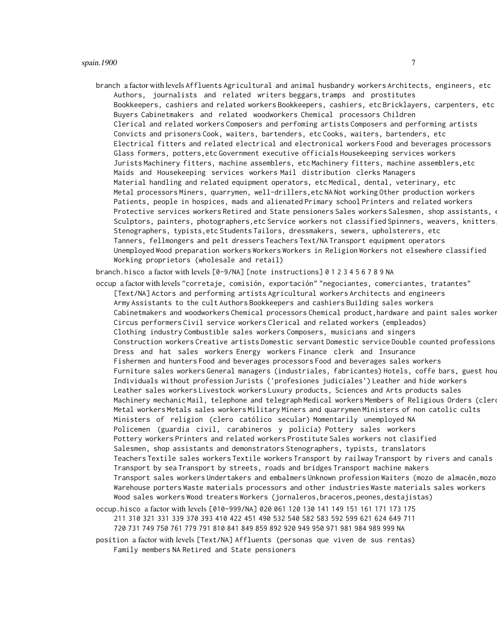branch a factor with levels Affluents Agricultural and animal husbandry workers Architects, engineers, etc Authors, journalists and related writers beggars,tramps and prostitutes Bookkeepers, cashiers and related workers Bookkeepers, cashiers, etc Bricklayers, carpenters, etc Buyers Cabinetmakers and related woodworkers Chemical processors Children Clerical and related workers Composers and perfoming artists Composers and performing artists Convicts and prisoners Cook, waiters, bartenders, etc Cooks, waiters, bartenders, etc Electrical fitters and related electrical and electronical workers Food and beverages processors Glass formers, potters,etc Government executive officials Housekeeping services workers Jurists Machinery fitters, machine assemblers, etc Machinery fitters, machine assemblers,etc Maids and Housekeeping services workers Mail distribution clerks Managers Material handling and related equipment operators, etc Medical, dental, veterinary, etc Metal processors Miners, quarrymen, well-drillers,etc NA Not working Other production workers Patients, people in hospices, mads and alienated Primary school Printers and related workers Protective services workers Retired and State pensioners Sales workers Salesmen, shop assistants, Sculptors, painters, photographers,etc Service workers not classified Spinners, weavers, knitters Stenographers, typists,etc Students Tailors, dressmakers, sewers, upholsterers, etc Tanners, fellmongers and pelt dressers Teachers Text/NA Transport equipment operators Unemployed Wood preparation workers Workers Workers in Religion Workers not elsewhere classified Working proprietors (wholesale and retail)

branch.hisco a factor with levels [0-9/NA] [note instructions] 0 1 2 3 4 5 6 7 8 9 NA

occup a factor with levels "corretaje, comisión, exportación" "negociantes, comerciantes, tratantes" [Text/NA] Actors and performing artists Agricultural workers Architects and engineers Army Assistants to the cult Authors Bookkeepers and cashiers Building sales workers Cabinetmakers and woodworkers Chemical processors Chemical product, hardware and paint sales worker Circus performers Civil service workers Clerical and related workers (empleados) Clothing industry Combustible sales workers Composers, musicians and singers Construction workers Creative artists Domestic servant Domestic service Double counted professions Dress and hat sales workers Energy workers Finance clerk and Insurance Fishermen and hunters Food and beverages processors Food and beverages sales workers Furniture sales workers General managers (industriales, fabricantes) Hotels, coffe bars, guest hou Individuals without profession Jurists ('profesiones judiciales') Leather and hide workers Leather sales workers Livestock workers Luxury products, Sciences and Arts products sales Machinery mechanic Mail, telephone and telegraph Medical workers Members of Religious Orders (clero Metal workers Metals sales workers Military Miners and quarrymen Ministers of non catolic cults Ministers of religion (clero católico secular) Momentarily unemployed NA Policemen (guardia civil, carabineros y policía) Pottery sales workers Pottery workers Printers and related workers Prostitute Sales workers not clasified Salesmen, shop assistants and demonstrators Stenographers, typists, translators Teachers Textile sales workers Textile workers Transport by railway Transport by rivers and canals Transport by sea Transport by streets, roads and bridges Transport machine makers Transport sales workers Undertakers and embalmers Unknown profession Waiters (mozo de almacén, mozo Warehouse porters Waste materials processors and other industries Waste materials sales workers Wood sales workers Wood treaters Workers (jornaleros, braceros, peones, destajistas) occup.hisco a factor with levels [010-999/NA] 020 061 120 130 141 149 151 161 171 173 175

211 310 321 331 339 370 393 410 422 451 490 532 540 582 583 592 599 621 624 649 711

720 731 749 750 761 779 791 810 841 849 859 892 920 949 950 971 981 984 989 999 NA

position a factor with levels [Text/NA] Affluents (personas que viven de sus rentas) Family members NA Retired and State pensioners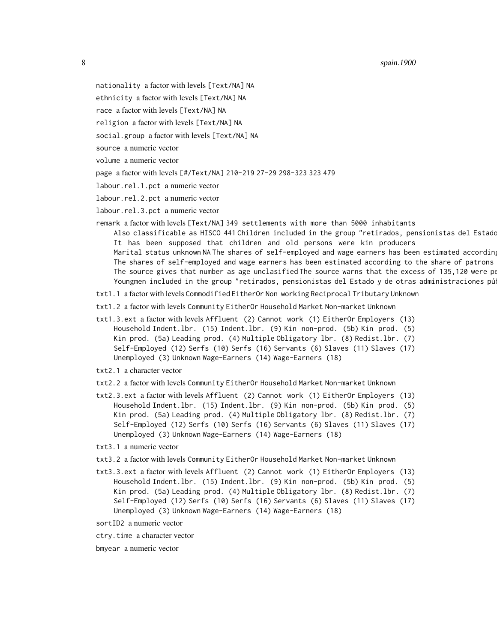8 spain.1900 spain.1900 spain.1900 spain.1900 spain.1900 spain.1900 spain.1900 spain.1900

- nationality a factor with levels [Text/NA] NA
- ethnicity a factor with levels [Text/NA] NA
- race a factor with levels [Text/NA] NA
- religion a factor with levels [Text/NA] NA
- social.group a factor with levels [Text/NA] NA
- source a numeric vector
- volume a numeric vector
- page a factor with levels [#/Text/NA] 210-219 27-29 298-323 323 479
- labour.rel.1.pct a numeric vector
- labour.rel.2.pct a numeric vector
- labour.rel.3.pct a numeric vector
- remark a factor with levels [Text/NA] 349 settlements with more than 5000 inhabitants Also classificable as HISCO 441 Children included in the group "retirados, pensionistas del Estado
	- It has been supposed that children and old persons were kin producers Marital status unknown NA The shares of self-employed and wage earners has been estimated according
	- The shares of self-employed and wage earners has been estimated according to the share of patrons The source gives that number as age unclasified The source warns that the excess of 135,120 were persons register Youngmen included in the group "retirados, pensionistas del Estado y de otras administraciones pú
- txt1.1 a factor with levels Commodified EitherOr Non working Reciprocal Tributary Unknown
- txt1.2 a factor with levels Community EitherOr Household Market Non-market Unknown
- txt1.3.ext a factor with levels Affluent (2) Cannot work (1) EitherOr Employers (13) Household Indent.lbr. (15) Indent.lbr. (9) Kin non-prod. (5b) Kin prod. (5) Kin prod. (5a) Leading prod. (4) Multiple Obligatory lbr. (8) Redist.lbr. (7) Self-Employed (12) Serfs (10) Serfs (16) Servants (6) Slaves (11) Slaves (17) Unemployed (3) Unknown Wage-Earners (14) Wage-Earners (18)
- txt2.1 a character vector
- txt2.2 a factor with levels Community EitherOr Household Market Non-market Unknown
- txt2.3.ext a factor with levels Affluent (2) Cannot work (1) EitherOr Employers (13) Household Indent.lbr. (15) Indent.lbr. (9) Kin non-prod. (5b) Kin prod. (5) Kin prod. (5a) Leading prod. (4) Multiple Obligatory lbr. (8) Redist.lbr. (7) Self-Employed (12) Serfs (10) Serfs (16) Servants (6) Slaves (11) Slaves (17) Unemployed (3) Unknown Wage-Earners (14) Wage-Earners (18)
- txt3.1 a numeric vector
- txt3.2 a factor with levels Community EitherOr Household Market Non-market Unknown
- txt3.3.ext a factor with levels Affluent (2) Cannot work (1) EitherOr Employers (13) Household Indent.lbr. (15) Indent.lbr. (9) Kin non-prod. (5b) Kin prod. (5) Kin prod. (5a) Leading prod. (4) Multiple Obligatory lbr. (8) Redist.lbr. (7) Self-Employed (12) Serfs (10) Serfs (16) Servants (6) Slaves (11) Slaves (17) Unemployed (3) Unknown Wage-Earners (14) Wage-Earners (18)
- sortID2 a numeric vector
- ctry.time a character vector
- bmyear a numeric vector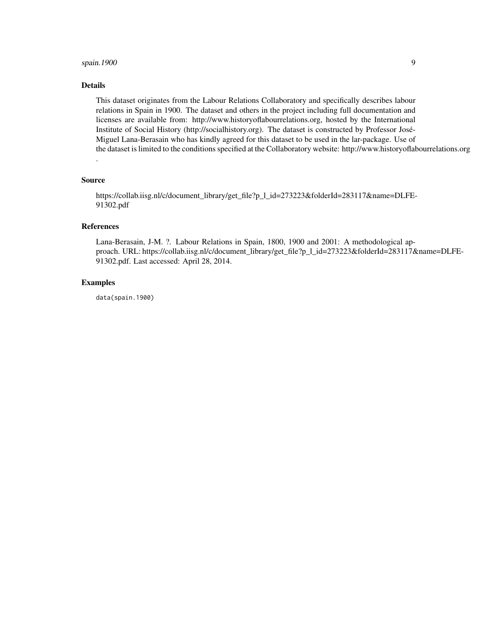#### spain.1900 9

### Details

This dataset originates from the Labour Relations Collaboratory and specifically describes labour relations in Spain in 1900. The dataset and others in the project including full documentation and licenses are available from: http://www.historyoflabourrelations.org, hosted by the International Institute of Social History (http://socialhistory.org). The dataset is constructed by Professor José-Miguel Lana-Berasain who has kindly agreed for this dataset to be used in the lar-package. Use of the dataset is limited to the conditions specified at the Collaboratory website: http://www.historyoflabourrelations.org

#### Source

.

https://collab.iisg.nl/c/document\_library/get\_file?p\_l\_id=273223&folderId=283117&name=DLFE-91302.pdf

#### References

Lana-Berasain, J-M. ?. Labour Relations in Spain, 1800, 1900 and 2001: A methodological approach. URL: https://collab.iisg.nl/c/document\_library/get\_file?p\_l\_id=273223&folderId=283117&name=DLFE-91302.pdf. Last accessed: April 28, 2014.

#### Examples

data(spain.1900)